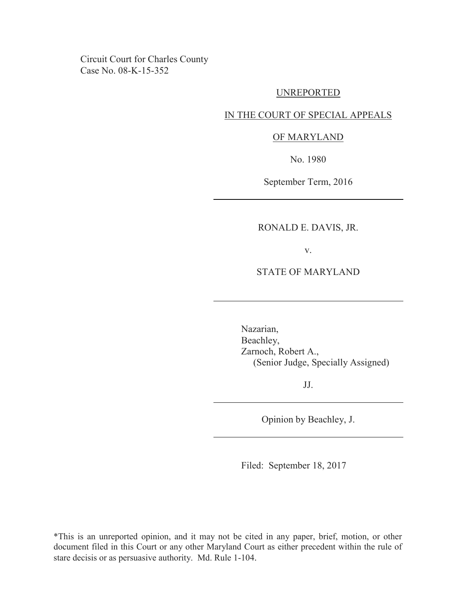Circuit Court for Charles County Case No. 08-K-15-352

#### UNREPORTED

#### IN THE COURT OF SPECIAL APPEALS

## OF MARYLAND

No. 1980

September Term, 2016

# RONALD E. DAVIS, JR.

v.

# STATE OF MARYLAND

Nazarian, Beachley, Zarnoch, Robert A., (Senior Judge, Specially Assigned)

JJ.

Opinion by Beachley, J.

Filed: September 18, 2017

\*This is an unreported opinion, and it may not be cited in any paper, brief, motion, or other document filed in this Court or any other Maryland Court as either precedent within the rule of stare decisis or as persuasive authority. Md. Rule 1-104.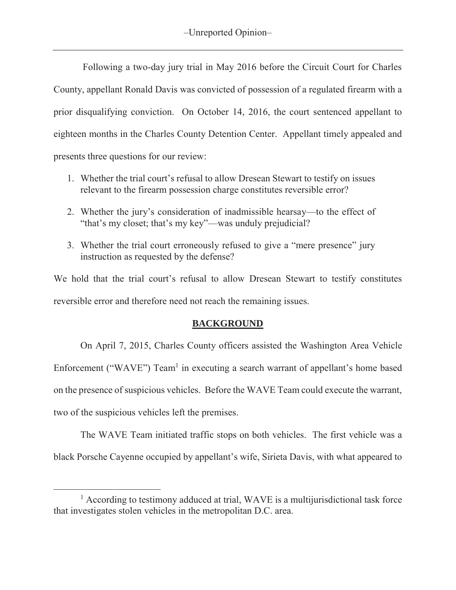Following a two-day jury trial in May 2016 before the Circuit Court for Charles County, appellant Ronald Davis was convicted of possession of a regulated firearm with a prior disqualifying conviction. On October 14, 2016, the court sentenced appellant to eighteen months in the Charles County Detention Center. Appellant timely appealed and presents three questions for our review:

- 1. Whether the trial court's refusal to allow Dresean Stewart to testify on issues relevant to the firearm possession charge constitutes reversible error?
- 2. Whether the jury's consideration of inadmissible hearsay—to the effect of "that's my closet; that's my key"—was unduly prejudicial?
- 3. Whether the trial court erroneously refused to give a "mere presence" jury instruction as requested by the defense?

We hold that the trial court's refusal to allow Dresean Stewart to testify constitutes reversible error and therefore need not reach the remaining issues.

# **BACKGROUND**

 On April 7, 2015, Charles County officers assisted the Washington Area Vehicle Enforcement ("WAVE") Team<sup>1</sup> in executing a search warrant of appellant's home based on the presence of suspicious vehicles. Before the WAVE Team could execute the warrant, two of the suspicious vehicles left the premises.

The WAVE Team initiated traffic stops on both vehicles. The first vehicle was a black Porsche Cayenne occupied by appellant's wife, Sirieta Davis, with what appeared to

 $\overline{a}$ 

<sup>&</sup>lt;sup>1</sup> According to testimony adduced at trial, WAVE is a multijurisdictional task force that investigates stolen vehicles in the metropolitan D.C. area.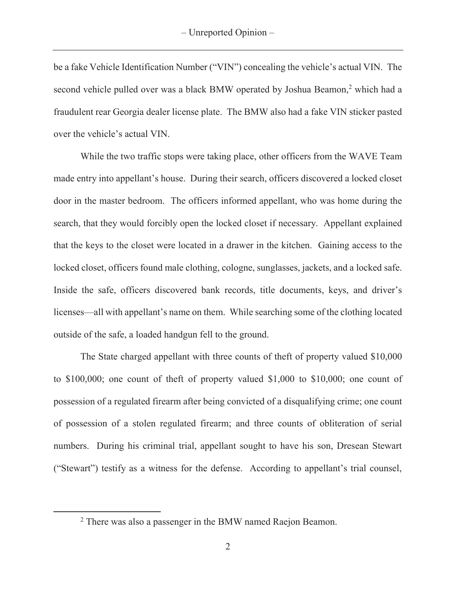be a fake Vehicle Identification Number ("VIN") concealing the vehicle's actual VIN. The second vehicle pulled over was a black BMW operated by Joshua Beamon,<sup>2</sup> which had a fraudulent rear Georgia dealer license plate. The BMW also had a fake VIN sticker pasted over the vehicle's actual VIN.

 While the two traffic stops were taking place, other officers from the WAVE Team made entry into appellant's house. During their search, officers discovered a locked closet door in the master bedroom. The officers informed appellant, who was home during the search, that they would forcibly open the locked closet if necessary. Appellant explained that the keys to the closet were located in a drawer in the kitchen. Gaining access to the locked closet, officers found male clothing, cologne, sunglasses, jackets, and a locked safe. Inside the safe, officers discovered bank records, title documents, keys, and driver's licenses—all with appellant's name on them. While searching some of the clothing located outside of the safe, a loaded handgun fell to the ground.

 The State charged appellant with three counts of theft of property valued \$10,000 to \$100,000; one count of theft of property valued \$1,000 to \$10,000; one count of possession of a regulated firearm after being convicted of a disqualifying crime; one count of possession of a stolen regulated firearm; and three counts of obliteration of serial numbers. During his criminal trial, appellant sought to have his son, Dresean Stewart ("Stewart") testify as a witness for the defense. According to appellant's trial counsel,

 $\overline{a}$ 

<sup>2</sup> There was also a passenger in the BMW named Raejon Beamon.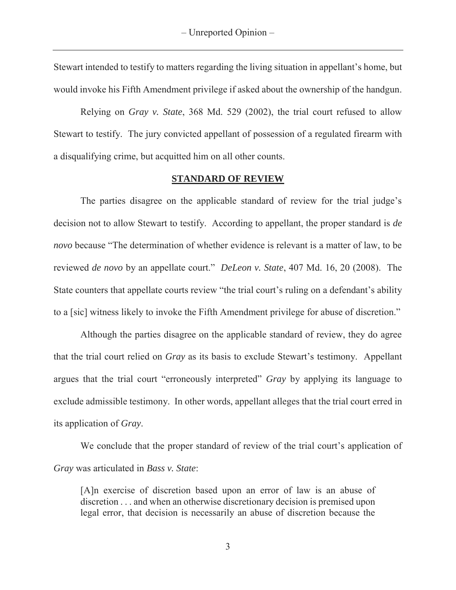Stewart intended to testify to matters regarding the living situation in appellant's home, but would invoke his Fifth Amendment privilege if asked about the ownership of the handgun.

Relying on *Gray v. State*, 368 Md. 529 (2002), the trial court refused to allow Stewart to testify. The jury convicted appellant of possession of a regulated firearm with a disqualifying crime, but acquitted him on all other counts.

### **STANDARD OF REVIEW**

 The parties disagree on the applicable standard of review for the trial judge's decision not to allow Stewart to testify. According to appellant, the proper standard is *de novo* because "The determination of whether evidence is relevant is a matter of law, to be reviewed *de novo* by an appellate court." *DeLeon v. State*, 407 Md. 16, 20 (2008). The State counters that appellate courts review "the trial court's ruling on a defendant's ability to a [sic] witness likely to invoke the Fifth Amendment privilege for abuse of discretion."

Although the parties disagree on the applicable standard of review, they do agree that the trial court relied on *Gray* as its basis to exclude Stewart's testimony. Appellant argues that the trial court "erroneously interpreted" *Gray* by applying its language to exclude admissible testimony. In other words, appellant alleges that the trial court erred in its application of *Gray*.

 We conclude that the proper standard of review of the trial court's application of *Gray* was articulated in *Bass v. State*:

[A]n exercise of discretion based upon an error of law is an abuse of discretion . . . and when an otherwise discretionary decision is premised upon legal error, that decision is necessarily an abuse of discretion because the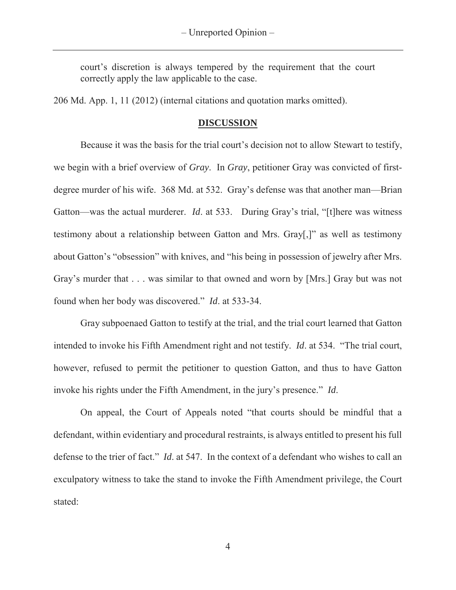court's discretion is always tempered by the requirement that the court correctly apply the law applicable to the case.

206 Md. App. 1, 11 (2012) (internal citations and quotation marks omitted).

## **DISCUSSION**

 Because it was the basis for the trial court's decision not to allow Stewart to testify, we begin with a brief overview of *Gray*. In *Gray*, petitioner Gray was convicted of firstdegree murder of his wife. 368 Md. at 532. Gray's defense was that another man—Brian Gatton—was the actual murderer. *Id*. at 533. During Gray's trial, "[t]here was witness testimony about a relationship between Gatton and Mrs. Gray[,]" as well as testimony about Gatton's "obsession" with knives, and "his being in possession of jewelry after Mrs. Gray's murder that . . . was similar to that owned and worn by [Mrs.] Gray but was not found when her body was discovered." *Id*. at 533-34.

 Gray subpoenaed Gatton to testify at the trial, and the trial court learned that Gatton intended to invoke his Fifth Amendment right and not testify. *Id*. at 534. "The trial court, however, refused to permit the petitioner to question Gatton, and thus to have Gatton invoke his rights under the Fifth Amendment, in the jury's presence." *Id*.

 On appeal, the Court of Appeals noted "that courts should be mindful that a defendant, within evidentiary and procedural restraints, is always entitled to present his full defense to the trier of fact." *Id*. at 547. In the context of a defendant who wishes to call an exculpatory witness to take the stand to invoke the Fifth Amendment privilege, the Court stated:

4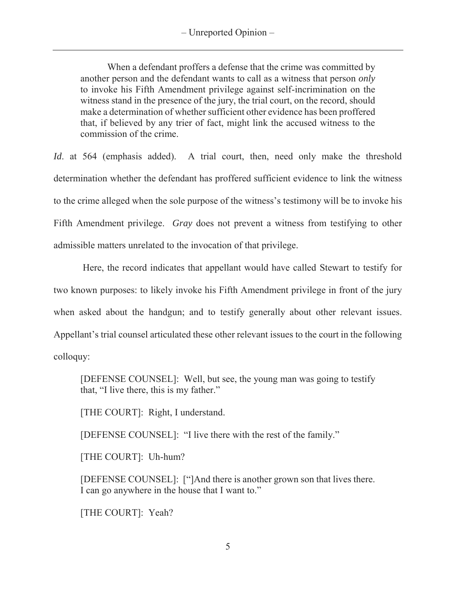When a defendant proffers a defense that the crime was committed by another person and the defendant wants to call as a witness that person *only* to invoke his Fifth Amendment privilege against self-incrimination on the witness stand in the presence of the jury, the trial court, on the record, should make a determination of whether sufficient other evidence has been proffered that, if believed by any trier of fact, might link the accused witness to the commission of the crime.

*Id.* at 564 (emphasis added). A trial court, then, need only make the threshold determination whether the defendant has proffered sufficient evidence to link the witness to the crime alleged when the sole purpose of the witness's testimony will be to invoke his Fifth Amendment privilege. *Gray* does not prevent a witness from testifying to other admissible matters unrelated to the invocation of that privilege.

 Here, the record indicates that appellant would have called Stewart to testify for two known purposes: to likely invoke his Fifth Amendment privilege in front of the jury when asked about the handgun; and to testify generally about other relevant issues. Appellant's trial counsel articulated these other relevant issues to the court in the following colloquy:

[DEFENSE COUNSEL]: Well, but see, the young man was going to testify that, "I live there, this is my father."

[THE COURT]: Right, I understand.

[DEFENSE COUNSEL]: "I live there with the rest of the family."

[THE COURT]: Uh-hum?

[DEFENSE COUNSEL]: ["]And there is another grown son that lives there. I can go anywhere in the house that I want to."

[THE COURT]: Yeah?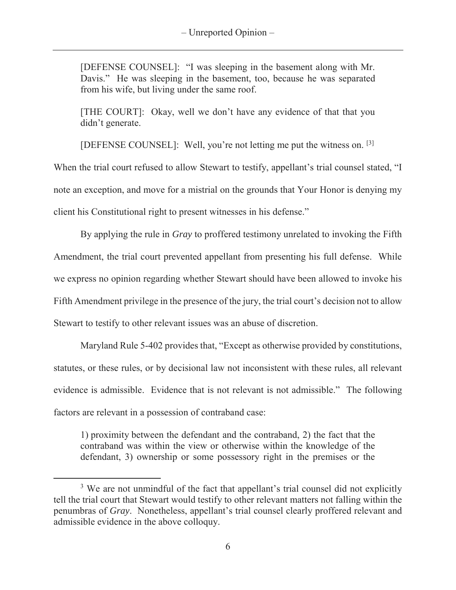[DEFENSE COUNSEL]: "I was sleeping in the basement along with Mr. Davis." He was sleeping in the basement, too, because he was separated from his wife, but living under the same roof.

[THE COURT]: Okay, well we don't have any evidence of that that you didn't generate.

[DEFENSE COUNSEL]: Well, you're not letting me put the witness on. [3]

When the trial court refused to allow Stewart to testify, appellant's trial counsel stated, "I note an exception, and move for a mistrial on the grounds that Your Honor is denying my client his Constitutional right to present witnesses in his defense."

By applying the rule in *Gray* to proffered testimony unrelated to invoking the Fifth Amendment, the trial court prevented appellant from presenting his full defense. While we express no opinion regarding whether Stewart should have been allowed to invoke his Fifth Amendment privilege in the presence of the jury, the trial court's decision not to allow Stewart to testify to other relevant issues was an abuse of discretion.

 Maryland Rule 5-402 provides that, "Except as otherwise provided by constitutions, statutes, or these rules, or by decisional law not inconsistent with these rules, all relevant evidence is admissible. Evidence that is not relevant is not admissible." The following factors are relevant in a possession of contraband case:

1) proximity between the defendant and the contraband, 2) the fact that the contraband was within the view or otherwise within the knowledge of the defendant, 3) ownership or some possessory right in the premises or the

 $\overline{a}$ 

<sup>&</sup>lt;sup>3</sup> We are not unmindful of the fact that appellant's trial counsel did not explicitly tell the trial court that Stewart would testify to other relevant matters not falling within the penumbras of *Gray*. Nonetheless, appellant's trial counsel clearly proffered relevant and admissible evidence in the above colloquy.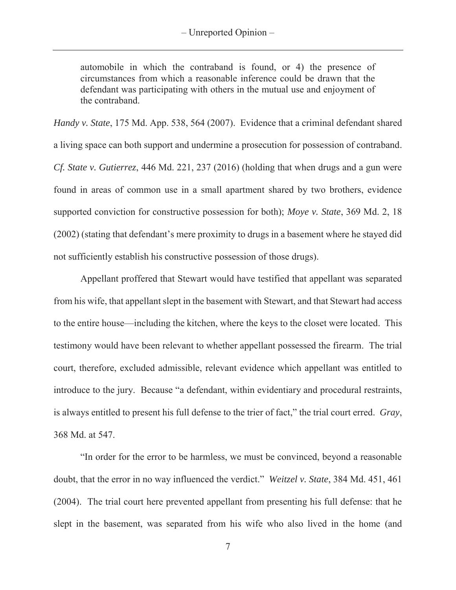automobile in which the contraband is found, or 4) the presence of circumstances from which a reasonable inference could be drawn that the defendant was participating with others in the mutual use and enjoyment of the contraband.

*Handy v. State*, 175 Md. App. 538, 564 (2007). Evidence that a criminal defendant shared a living space can both support and undermine a prosecution for possession of contraband. *Cf. State v. Gutierrez*, 446 Md. 221, 237 (2016) (holding that when drugs and a gun were found in areas of common use in a small apartment shared by two brothers, evidence supported conviction for constructive possession for both); *Moye v. State*, 369 Md. 2, 18 (2002) (stating that defendant's mere proximity to drugs in a basement where he stayed did not sufficiently establish his constructive possession of those drugs).

Appellant proffered that Stewart would have testified that appellant was separated from his wife, that appellant slept in the basement with Stewart, and that Stewart had access to the entire house—including the kitchen, where the keys to the closet were located. This testimony would have been relevant to whether appellant possessed the firearm. The trial court, therefore, excluded admissible, relevant evidence which appellant was entitled to introduce to the jury. Because "a defendant, within evidentiary and procedural restraints, is always entitled to present his full defense to the trier of fact," the trial court erred. *Gray*, 368 Md. at 547.

 "In order for the error to be harmless, we must be convinced, beyond a reasonable doubt, that the error in no way influenced the verdict." *Weitzel v. State*, 384 Md. 451, 461 (2004). The trial court here prevented appellant from presenting his full defense: that he slept in the basement, was separated from his wife who also lived in the home (and